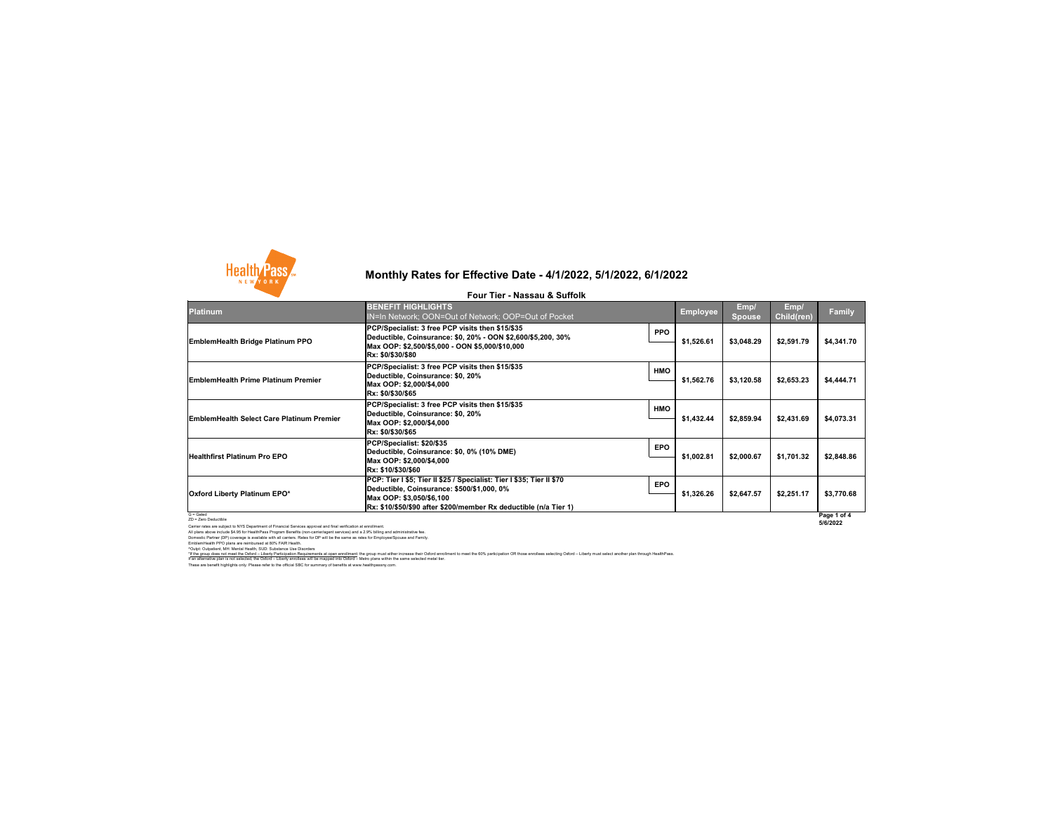

### **Platinum**

G = Gated ZD = Zero Deductible

Carrier rates are subject to NYS Department of Financial Services approval and final verification at enrollment. All plans above include \$4.95 for HealthPass Program Benefits (non-carrier/agent services) and a 2.9% billing and administrative fee. Domestic Partner (DP) coverage is available with all carriers. Rates for DP will be the same as rates for Employee/Spouse and Family. EmblemHealth PPO plans are reimbursed at 80% FAIR Health.

^Outpt: Outpatient, MH: Mental Health, SUD: Substance Use Disorders

**Page 1 of 4 5/6/2022**

# **Monthly Rates for Effective Date - 4/1/2022, 5/1/2022, 6/1/2022**

**Four Tier - Nassau & Suffolk**

These are benefit highlights only. Please refer to the official SBC for summary of benefits at www.healthpassny.com. \*If the group does not meet the Oxford – Liberty Participation Requirements at open enrollment: the group must either increase their Oxford enrollment to meet the 60% participation OR those enrollees selecting Oxford – Lib If an alternative plan is not selected, the Oxford – Liberty enrollees will be mapped into Oxford – Metro plans within the same selected metal tier.

| <b>BENEFIT HIGHLIGHTS</b><br><b>IN=In Network; OON=Out of Network; OOP=Out of Pocket</b>                                                                                                                            |            | <b>Employee</b> | Emp/<br><b>Spouse</b> | Emp/<br><b>Child(ren)</b> | <b>Family</b>             |
|---------------------------------------------------------------------------------------------------------------------------------------------------------------------------------------------------------------------|------------|-----------------|-----------------------|---------------------------|---------------------------|
| PCP/Specialist: 3 free PCP visits then \$15/\$35<br>Deductible, Coinsurance: \$0, 20% - OON \$2,600/\$5,200, 30%<br>Max OOP: \$2,500/\$5,000 - OON \$5,000/\$10,000<br>Rx: \$0/\$30/\$80                            | <b>PPO</b> | \$1,526.61      | \$3,048.29            | \$2,591.79                | \$4,341.70                |
| PCP/Specialist: 3 free PCP visits then \$15/\$35<br>Deductible, Coinsurance: \$0, 20%<br>Max OOP: \$2,000/\$4,000<br>Rx: \$0/\$30/\$65                                                                              | <b>HMO</b> | \$1,562.76      | \$3,120.58            | \$2,653.23                | \$4,444.71                |
| PCP/Specialist: 3 free PCP visits then \$15/\$35<br>Deductible, Coinsurance: \$0, 20%<br>Max OOP: \$2,000/\$4,000<br>Rx: \$0/\$30/\$65                                                                              | <b>HMO</b> | \$1,432.44      | \$2,859.94            | \$2,431.69                | \$4,073.31                |
| PCP/Specialist: \$20/\$35<br>Deductible, Coinsurance: \$0, 0% (10% DME)<br>Max OOP: \$2,000/\$4,000<br><b>Rx: \$10/\$30/\$60</b>                                                                                    | <b>EPO</b> | \$1,002.81      | \$2,000.67            | \$1,701.32                | \$2,848.86                |
| PCP: Tier I \$5; Tier II \$25 / Specialist: Tier I \$35; Tier II \$70<br>Deductible, Coinsurance: \$500/\$1,000, 0%<br>Max OOP: \$3,050/\$6,100<br>Rx: \$10/\$50/\$90 after \$200/member Rx deductible (n/a Tier 1) | <b>EPO</b> | \$1,326.26      | \$2,647.57            | \$2,251.17                | \$3,770.68<br>Page 1 of 4 |

### **Oxford Liberty Platinum EPO\***

**EmblemHealth Bridge Platinum PPO**

**EmblemHealth Prime Platinum Premier** 

**Healthfirst Platinum Pro EPO**

**EmblemHealth Select Care Platinum Premier**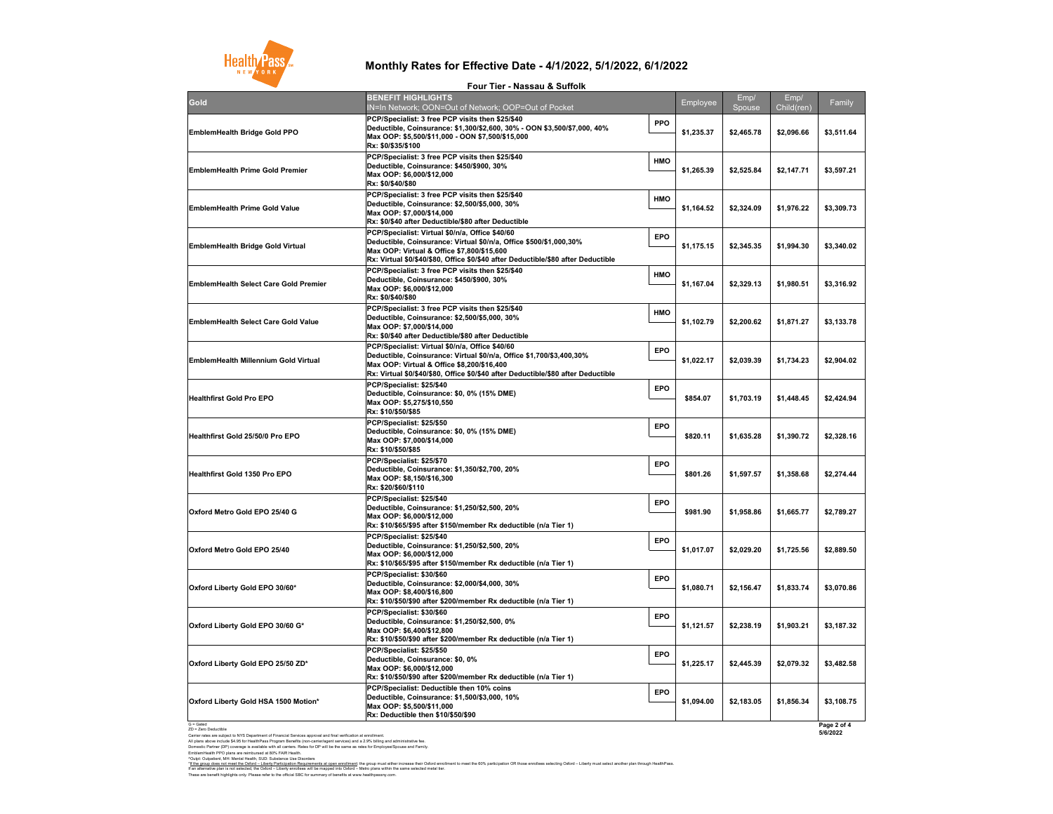G = Gated ZD = Zero Deductible

These are benefit highlights only. Please refer to the official SBC for summary of benefits at www.healthpassny.com. \*<u>If the group does not meet the Oxford – Liberty Participation Requirements at open enrollment</u>: the group must either increase their Oxford enrollment to meet the 60% participation OR those enrollees selecting Oxford – L If an alternative plan is not selected, the Oxford – Liberty enrollees will be mapped into Oxford – Metro plans within the same selected metal tier.

Carrier rates are subject to NYS Department of Financial Services approval and final verification at enrollment. All plans above include \$4.95 for HealthPass Program Benefits (non-carrier/agent services) and a 2.9% billing and administrative fee. Domestic Partner (DP) coverage is available with all carriers. Rates for DP will be the same as rates for Employee/Spouse and Family. EmblemHealth PPO plans are reimbursed at 80% FAIR Health. ^Outpt: Outpatient, MH: Mental Health, SUD: Substance Use Disorders

**Page 2 of 4 5/6/2022**

## **Monthly Rates for Effective Date - 4/1/2022, 5/1/2022, 6/1/2022**

### **Four Tier - Nassau & Suffolk**

|                                              | TUUT TIGI - NGSSAU & UUTIUIN                                                                                                                                                                                                                                     |            |            |                |                    |            |
|----------------------------------------------|------------------------------------------------------------------------------------------------------------------------------------------------------------------------------------------------------------------------------------------------------------------|------------|------------|----------------|--------------------|------------|
| <b>Gold</b>                                  | <b>BENEFIT HIGHLIGHTS</b><br>IN=In Network; OON=Out of Network; OOP=Out of Pocket                                                                                                                                                                                |            | Employee   | Emp/<br>Spouse | Emp/<br>Child(ren) | Family     |
| <b>EmblemHealth Bridge Gold PPO</b>          | <b>PCP/Specialist: 3 free PCP visits then \$25/\$40</b><br>Deductible, Coinsurance: \$1,300/\$2,600, 30% - OON \$3,500/\$7,000, 40%<br> Max OOP: \$5,500/\$11,000 - OON \$7,500/\$15,000<br><b>Rx: \$0/\$35/\$100</b>                                            | <b>PPO</b> | \$1,235.37 | \$2,465.78     | \$2,096.66         | \$3,511.64 |
| <b>EmblemHealth Prime Gold Premier</b>       | <b>PCP/Specialist: 3 free PCP visits then \$25/\$40</b><br>Deductible, Coinsurance: \$450/\$900, 30%<br>Max OOP: \$6,000/\$12,000<br> Rx: \$0/\$40/\$80                                                                                                          | <b>HMO</b> | \$1,265.39 | \$2,525.84     | \$2,147.71         | \$3,597.21 |
| <b>EmblemHealth Prime Gold Value</b>         | <b>PCP/Specialist: 3 free PCP visits then \$25/\$40</b><br>Deductible, Coinsurance: \$2,500/\$5,000, 30%<br>Max OOP: \$7,000/\$14,000 M<br><b>Rx: \$0/\$40 after Deductible/\$80 after Deductible</b>                                                            | <b>HMO</b> | \$1,164.52 | \$2,324.09     | \$1,976.22         | \$3,309.73 |
| <b>EmblemHealth Bridge Gold Virtual</b>      | <b>PCP/Specialist: Virtual \$0/n/a, Office \$40/60</b><br>Deductible, Coinsurance: Virtual \$0/n/a, Office \$500/\$1,000,30%<br>Max OOP: Virtual & Office \$7,800/\$15,600<br> Rx: Virtual \$0/\$40/\$80, Office \$0/\$40 after Deductible/\$80 after Deductible | <b>EPO</b> | \$1,175.15 | \$2,345.35     | \$1,994.30         | \$3,340.02 |
| <b>EmblemHealth Select Care Gold Premier</b> | <b>PCP/Specialist: 3 free PCP visits then \$25/\$40</b><br>Deductible, Coinsurance: \$450/\$900, 30%<br>Max OOP: \$6,000/\$12,000 M<br> Rx: \$0/\$40/\$80                                                                                                        | <b>HMO</b> | \$1,167.04 | \$2,329.13     | \$1,980.51         | \$3,316.92 |
| <b>EmblemHealth Select Care Gold Value</b>   | PCP/Specialist: 3 free PCP visits then \$25/\$40<br>Deductible, Coinsurance: \$2,500/\$5,000, 30%<br>Max OOP: \$7,000/\$14,000 M<br><b>Rx: \$0/\$40 after Deductible/\$80 after Deductible</b>                                                                   | <b>HMO</b> | \$1,102.79 | \$2,200.62     | \$1,871.27         | \$3,133.78 |
| <b>EmblemHealth Millennium Gold Virtual</b>  | PCP/Specialist: Virtual \$0/n/a, Office \$40/60<br>Deductible, Coinsurance: Virtual \$0/n/a, Office \$1,700/\$3,400,30%<br>Max OOP: Virtual & Office \$8,200/\$16,400<br> Rx: Virtual \$0/\$40/\$80, Office \$0/\$40 after Deductible/\$80 after Deductible_     | <b>EPO</b> | \$1,022.17 | \$2,039.39     | \$1,734.23         | \$2,904.02 |
| <b>Healthfirst Gold Pro EPO</b>              | PCP/Specialist: \$25/\$40<br>Deductible, Coinsurance: \$0, 0% (15% DME)<br>Max OOP: \$5,275/\$10,550<br><b>Rx: \$10/\$50/\$85</b>                                                                                                                                | <b>EPO</b> | \$854.07   | \$1,703.19     | \$1,448.45         | \$2,424.94 |
| <b>Healthfirst Gold 25/50/0 Pro EPO</b>      | <b>PCP/Specialist: \$25/\$50</b><br>Deductible, Coinsurance: \$0, 0% (15% DME)<br>Max OOP: \$7,000/\$14,000<br><b>Rx: \$10/\$50/\$85</b>                                                                                                                         | <b>EPO</b> | \$820.11   | \$1,635.28     | \$1,390.72         | \$2,328.16 |
| <b>Healthfirst Gold 1350 Pro EPO</b>         | PCP/Specialist: \$25/\$70<br>Deductible, Coinsurance: \$1,350/\$2,700, 20%<br>Max OOP: \$8,150/\$16,300<br> Rx: \$20/\$60/\$110                                                                                                                                  | <b>EPO</b> | \$801.26   | \$1,597.57     | \$1,358.68         | \$2,274.44 |
| Oxford Metro Gold EPO 25/40 G                | PCP/Specialist: \$25/\$40<br>Deductible, Coinsurance: \$1,250/\$2,500, 20%<br>Max OOP: \$6,000/\$12,000<br> Rx: \$10/\$65/\$95 after \$150/member Rx deductible (n/a Tier 1)                                                                                     | <b>EPO</b> | \$981.90   | \$1,958.86     | \$1,665.77         | \$2,789.27 |
| Oxford Metro Gold EPO 25/40                  | PCP/Specialist: \$25/\$40<br>Deductible, Coinsurance: \$1,250/\$2,500, 20%<br>Max OOP: \$6,000/\$12,000 M<br> Rx: \$10/\$65/\$95 after \$150/member Rx deductible (n/a Tier 1)                                                                                   | <b>EPO</b> | \$1,017.07 | \$2,029.20     | \$1,725.56         | \$2,889.50 |
| Oxford Liberty Gold EPO 30/60*               | PCP/Specialist: \$30/\$60<br>Deductible, Coinsurance: \$2,000/\$4,000, 30%<br> Max OOP: \$8,400/\$16,800<br> Rx: \$10/\$50/\$90 after \$200/member Rx deductible (n/a Tier 1)                                                                                    | <b>EPO</b> | \$1,080.71 | \$2,156.47     | \$1,833.74         | \$3,070.86 |
| Oxford Liberty Gold EPO 30/60 G*             | PCP/Specialist: \$30/\$60<br>Deductible, Coinsurance: \$1,250/\$2,500, 0%<br>Max OOP: \$6,400/\$12,800<br> Rx: \$10/\$50/\$90 after \$200/member Rx deductible (n/a Tier 1)                                                                                      | <b>EPO</b> | \$1,121.57 | \$2,238.19     | \$1,903.21         | \$3,187.32 |
| Oxford Liberty Gold EPO 25/50 ZD*            | PCP/Specialist: \$25/\$50<br>Deductible, Coinsurance: \$0, 0%<br>Max OOP: \$6,000/\$12,000 M<br> Rx: \$10/\$50/\$90 after \$200/member Rx deductible (n/a Tier 1)                                                                                                | <b>EPO</b> | \$1,225.17 | \$2,445.39     | \$2,079.32         | \$3,482.58 |
| Oxford Liberty Gold HSA 1500 Motion*         | <b>PCP/Specialist: Deductible then 10% coins</b><br>Deductible, Coinsurance: \$1,500/\$3,000, 10%<br>Max OOP: \$5,500/\$11,000<br><b>Rx: Deductible then \$10/\$50/\$90</b>                                                                                      | <b>EPO</b> | \$1,094.00 | \$2,183.05     | \$1,856.34         | \$3,108.75 |

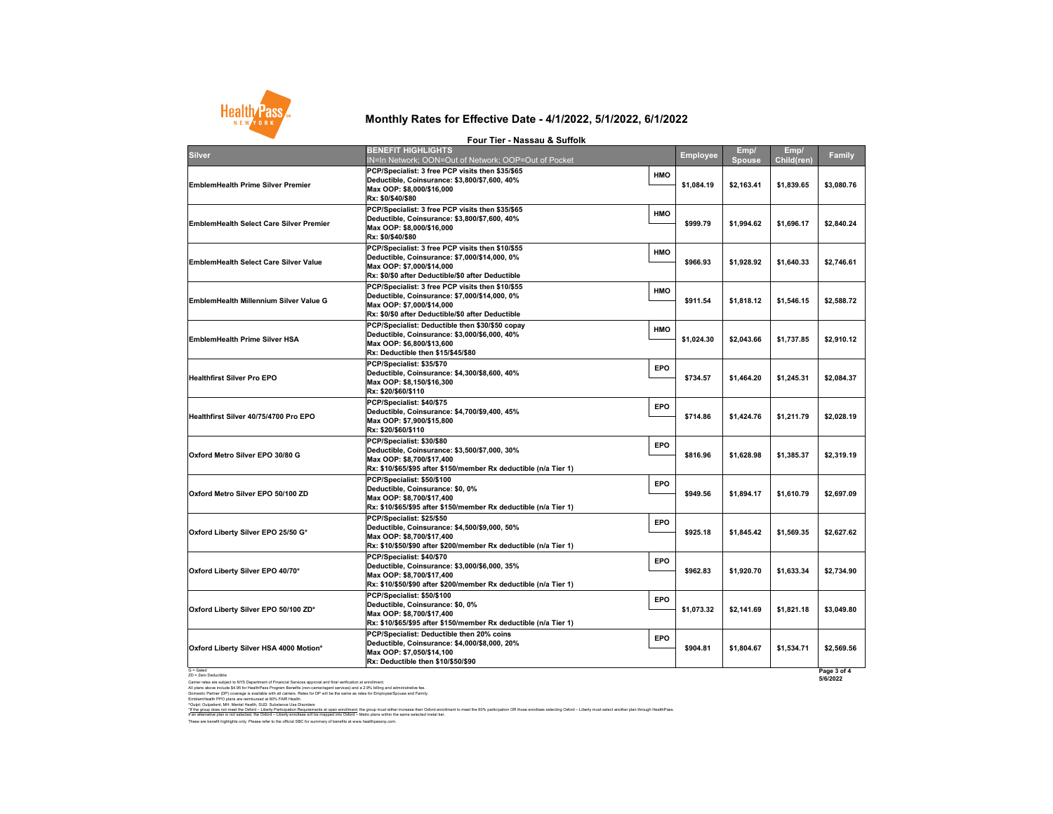G = Gated ZD = Zero Deductible

Carrier rates are subject to NYS Department of Financial Services approval and final verification at enrollment. All plans above include \$4.95 for HealthPass Program Benefits (non-carrier/agent services) and a 2.9% billing and administrative fee. Domestic Partner (DP) coverage is available with all carriers. Rates for DP will be the same as rates for Employee/Spouse and Family. EmblemHealth PPO plans are reimbursed at 80% FAIR Health.

^Outpt: Outpatient, MH: Mental Health, SUD: Substance Use Disorders

**5/6/2022**

These are benefit highlights only. Please refer to the official SBC for summary of benefits at www.healthpassny.com. \*<u>If the group does not meet the Oxford – Liberty Participation Requirements at open enrollment</u>: the group must either increase their Oxford enrollment to meet the 60% participation OR those enrollees selecting Oxford – L If an alternative plan is not selected, the Oxford – Liberty enrollees will be mapped into Oxford – Metro plans within the same selected metal tier.

| <b>Silver</b>                                  | <b>BENEFIT HIGHLIGHTS</b><br>IN=In Network; OON=Out of Network; OOP=Out of Pocket                                                                                                                 | <b>Employee</b>          | Emp/<br>Spouse | Emp/<br><b>Child(ren)</b> | <b>Family</b> |
|------------------------------------------------|---------------------------------------------------------------------------------------------------------------------------------------------------------------------------------------------------|--------------------------|----------------|---------------------------|---------------|
| <b>EmblemHealth Prime Silver Premier</b>       | <b>PCP/Specialist: 3 free PCP visits then \$35/\$65</b><br>Deductible, Coinsurance: \$3,800/\$7,600, 40%<br>Max OOP: \$8,000/\$16,000<br> Rx: \$0/\$40/\$80                                       | <b>HMO</b><br>\$1,084.19 | \$2,163.41     | \$1,839.65                | \$3,080.76    |
| <b>EmblemHealth Select Care Silver Premier</b> | <b>PCP/Specialist: 3 free PCP visits then \$35/\$65</b><br>Deductible, Coinsurance: \$3,800/\$7,600, 40%<br>Max OOP: \$8,000/\$16,000<br> Rx: \$0/\$40/\$80                                       | <b>HMO</b><br>\$999.79   | \$1,994.62     | \$1,696.17                | \$2,840.24    |
| <b>EmblemHealth Select Care Silver Value</b>   | <b>PCP/Specialist: 3 free PCP visits then \$10/\$55</b><br>Deductible, Coinsurance: \$7,000/\$14,000, 0%<br>Max OOP: \$7,000/\$14,000<br><b>Rx: \$0/\$0 after Deductible/\$0 after Deductible</b> | <b>HMO</b><br>\$966.93   | \$1,928.92     | \$1,640.33                | \$2,746.61    |
| <b>EmblemHealth Millennium Silver Value G</b>  | <b>PCP/Specialist: 3 free PCP visits then \$10/\$55</b><br>Deductible, Coinsurance: \$7,000/\$14,000, 0%<br>Max OOP: \$7,000/\$14,000<br><b>Rx: \$0/\$0 after Deductible/\$0 after Deductible</b> | <b>HMO</b><br>\$911.54   | \$1,818.12     | \$1,546.15                | \$2,588.72    |
| <b>EmblemHealth Prime Silver HSA</b>           | PCP/Specialist: Deductible then \$30/\$50 copay<br>Deductible, Coinsurance: \$3,000/\$6,000, 40%<br>Max OOP: \$6,800/\$13,600<br>Rx: Deductible then \$15/\$45/\$80                               | <b>HMO</b><br>\$1,024.30 | \$2,043.66     | \$1,737.85                | \$2,910.12    |
| <b>Healthfirst Silver Pro EPO</b>              | PCP/Specialist: \$35/\$70<br>Deductible, Coinsurance: \$4,300/\$8,600, 40%<br>Max OOP: \$8,150/\$16,300<br><b>Rx: \$20/\$60/\$110</b>                                                             | <b>EPO</b><br>\$734.57   | \$1,464.20     | \$1,245.31                | \$2,084.37    |
| Healthfirst Silver 40/75/4700 Pro EPO          | PCP/Specialist: \$40/\$75<br>Deductible, Coinsurance: \$4,700/\$9,400, 45%<br>Max OOP: \$7,900/\$15,800 <br><b>Rx: \$20/\$60/\$110</b>                                                            | <b>EPO</b><br>\$714.86   | \$1,424.76     | \$1,211.79                | \$2,028.19    |
| Oxford Metro Silver EPO 30/80 G                | <b>PCP/Specialist: \$30/\$80</b><br>Deductible, Coinsurance: \$3,500/\$7,000, 30%<br>Max OOP: \$8,700/\$17,400 <br> Rx: \$10/\$65/\$95 after \$150/member Rx deductible (n/a Tier 1)              | <b>EPO</b><br>\$816.96   | \$1,628.98     | \$1,385.37                | \$2,319.19    |
| Oxford Metro Silver EPO 50/100 ZD              | PCP/Specialist: \$50/\$100<br>Deductible, Coinsurance: \$0, 0%<br>Max OOP: \$8,700/\$17,400<br> Rx: \$10/\$65/\$95 after \$150/member Rx deductible (n/a Tier 1)                                  | <b>EPO</b><br>\$949.56   | \$1,894.17     | \$1,610.79                | \$2,697.09    |
| Oxford Liberty Silver EPO 25/50 G*             | PCP/Specialist: \$25/\$50<br>Deductible, Coinsurance: \$4,500/\$9,000, 50%<br>Max OOP: \$8,700/\$17,400 <br> Rx: \$10/\$50/\$90 after \$200/member Rx deductible (n/a Tier 1)                     | <b>EPO</b><br>\$925.18   | \$1,845.42     | \$1,569.35                | \$2,627.62    |
| Oxford Liberty Silver EPO 40/70*               | <b>PCP/Specialist: \$40/\$70</b><br> Deductible, Coinsurance: \$3,000/\$6,000, 35%<br>Max OOP: \$8,700/\$17,400<br> Rx: \$10/\$50/\$90 after \$200/member Rx deductible (n/a Tier 1)              | <b>EPO</b><br>\$962.83   | \$1,920.70     | \$1,633.34                | \$2,734.90    |
| Oxford Liberty Silver EPO 50/100 ZD*           | PCP/Specialist: \$50/\$100<br>Deductible, Coinsurance: \$0, 0%<br>Max OOP: \$8,700/\$17,400<br> Rx: \$10/\$65/\$95 after \$150/member Rx deductible (n/a Tier 1)                                  | <b>EPO</b><br>\$1,073.32 | \$2,141.69     | \$1,821.18                | \$3,049.80    |
| Oxford Liberty Silver HSA 4000 Motion*         | <b>PCP/Specialist: Deductible then 20% coins</b><br> Deductible, Coinsurance: \$4,000/\$8,000, 20%<br> Max OOP: \$7,050/\$14,100<br>Rx: Deductible then \$10/\$50/\$90                            | <b>EPO</b><br>\$904.81   | \$1,804.67     | \$1,534.71                | \$2,569.56    |
| G = Gated                                      |                                                                                                                                                                                                   |                          |                |                           | Page 3 of 4   |

## **Monthly Rates for Effective Date - 4/1/2022, 5/1/2022, 6/1/2022**

**Four Tier - Nassau & Suffolk**